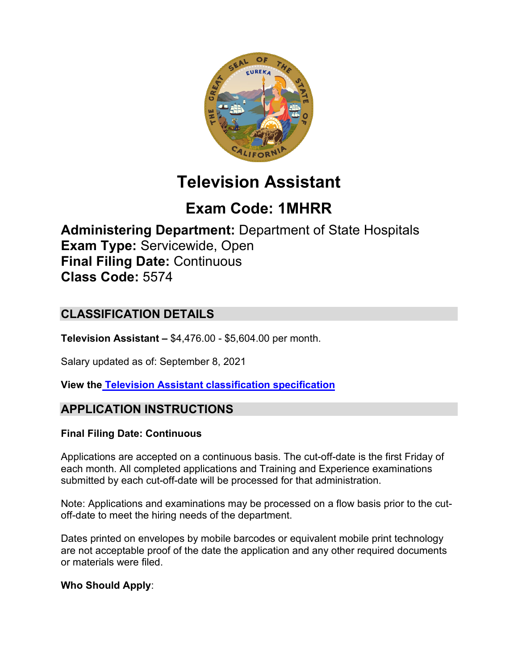

# **Television Assistant**

# **Exam Code: 1MHRR**

**Administering Department:** Department of State Hospitals **Exam Type:** Servicewide, Open **Final Filing Date:** Continuous **Class Code:** 5574

## **CLASSIFICATION DETAILS**

**Television Assistant –** \$4,476.00 - \$5,604.00 per month.

Salary updated as of: September 8, 2021

**View the [Television Assistant classification](https://www.calhr.ca.gov/state-hr-professionals/pages/5574.aspx) specification**

## **APPLICATION INSTRUCTIONS**

## **Final Filing Date: Continuous**

Applications are accepted on a continuous basis. The cut-off-date is the first Friday of each month. All completed applications and Training and Experience examinations submitted by each cut-off-date will be processed for that administration.

Note: Applications and examinations may be processed on a flow basis prior to the cutoff-date to meet the hiring needs of the department.

Dates printed on envelopes by mobile barcodes or equivalent mobile print technology are not acceptable proof of the date the application and any other required documents or materials were filed.

## **Who Should Apply**: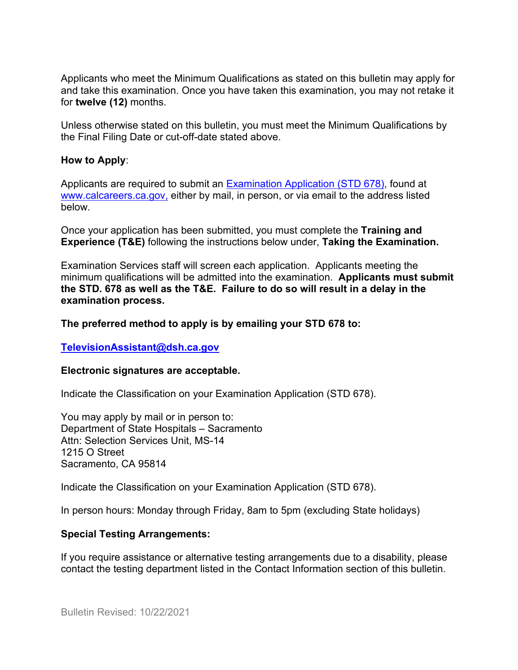Applicants who meet the Minimum Qualifications as stated on this bulletin may apply for and take this examination. Once you have taken this examination, you may not retake it for **twelve (12)** months.

Unless otherwise stated on this bulletin, you must meet the Minimum Qualifications by the Final Filing Date or cut-off-date stated above.

#### **How to Apply**:

Applicants are required to submit an [Examination Application \(STD 678\),](https://jobs.ca.gov/pdf/std678.pdf) found at [www.calcareers.ca.gov,](http://www.calcareers.ca.gov/) either by mail, in person, or via email to the address listed below.

Once your application has been submitted, you must complete the **Training and Experience (T&E)** following the instructions below under, **Taking the Examination.**

Examination Services staff will screen each application. Applicants meeting the minimum qualifications will be admitted into the examination. **Applicants must submit the STD. 678 as well as the T&E. Failure to do so will result in a delay in the examination process.**

#### **The preferred method to apply is by emailing your STD 678 to:**

#### **[TelevisionAssistant@dsh.ca.gov](mailto:TelevisionAssistant@dsh.ca.gov)**

#### **Electronic signatures are acceptable.**

Indicate the Classification on your Examination Application (STD 678).

You may apply by mail or in person to: Department of State Hospitals – Sacramento Attn: Selection Services Unit, MS-14 1215 O Street Sacramento, CA 95814

Indicate the Classification on your Examination Application (STD 678).

In person hours: Monday through Friday, 8am to 5pm (excluding State holidays)

#### **Special Testing Arrangements:**

If you require assistance or alternative testing arrangements due to a disability, please contact the testing department listed in the Contact Information section of this bulletin.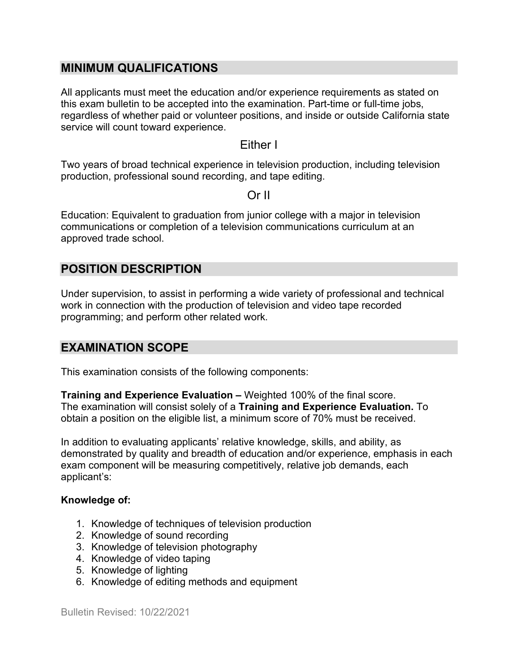#### **MINIMUM QUALIFICATIONS**

All applicants must meet the education and/or experience requirements as stated on this exam bulletin to be accepted into the examination. Part-time or full-time jobs, regardless of whether paid or volunteer positions, and inside or outside California state service will count toward experience.

#### Either I

Two years of broad technical experience in television production, including television production, professional sound recording, and tape editing.

#### Or II

Education: Equivalent to graduation from junior college with a major in television communications or completion of a television communications curriculum at an approved trade school.

## **POSITION DESCRIPTION**

Under supervision, to assist in performing a wide variety of professional and technical work in connection with the production of television and video tape recorded programming; and perform other related work.

## **EXAMINATION SCOPE**

This examination consists of the following components:

**Training and Experience Evaluation –** Weighted 100% of the final score. The examination will consist solely of a **Training and Experience Evaluation.** To obtain a position on the eligible list, a minimum score of 70% must be received.

In addition to evaluating applicants' relative knowledge, skills, and ability, as demonstrated by quality and breadth of education and/or experience, emphasis in each exam component will be measuring competitively, relative job demands, each applicant's:

#### **Knowledge of:**

- 1. Knowledge of techniques of television production
- 2. Knowledge of sound recording
- 3. Knowledge of television photography
- 4. Knowledge of video taping
- 5. Knowledge of lighting
- 6. Knowledge of editing methods and equipment

Bulletin Revised: 10/22/2021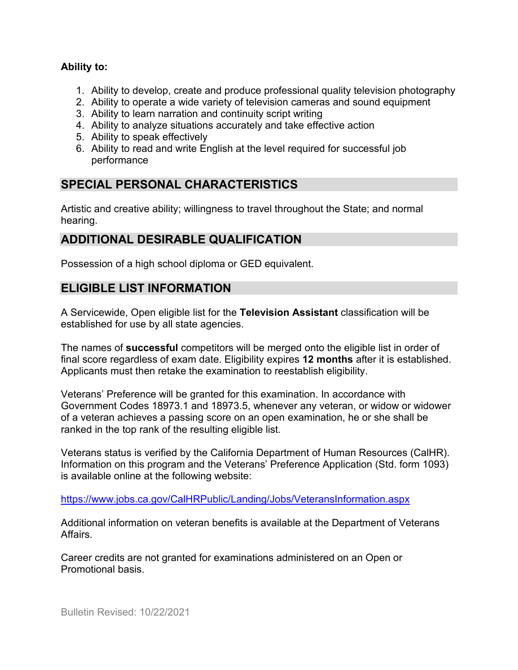#### **Ability to:**

- 1. Ability to develop, create and produce professional quality television photography
- 2. Ability to operate a wide variety of television cameras and sound equipment
- 3. Ability to learn narration and continuity script writing
- 4. Ability to analyze situations accurately and take effective action
- 5. Ability to speak effectively
- 6. Ability to read and write English at the level required for successful job performance

## **SPECIAL PERSONAL CHARACTERISTICS**

Artistic and creative ability; willingness to travel throughout the State; and normal hearing.

## **ADDITIONAL DESIRABLE QUALIFICATION**

Possession of a high school diploma or GED equivalent.

## **ELIGIBLE LIST INFORMATION**

A Servicewide, Open eligible list for the **Television Assistant** classification will be established for use by all state agencies.

The names of **successful** competitors will be merged onto the eligible list in order of final score regardless of exam date. Eligibility expires **12 months** after it is established. Applicants must then retake the examination to reestablish eligibility.

Veterans' Preference will be granted for this examination. In accordance with Government Codes 18973.1 and 18973.5, whenever any veteran, or widow or widower of a veteran achieves a passing score on an open examination, he or she shall be ranked in the top rank of the resulting eligible list.

Veterans status is verified by the California Department of Human Resources (CalHR). Information on this program and the Veterans' Preference Application (Std. form 1093) is available online at the following website:

<https://www.jobs.ca.gov/CalHRPublic/Landing/Jobs/VeteransInformation.aspx>

Additional information on veteran benefits is available at the Department of Veterans Affairs.

Career credits are not granted for examinations administered on an Open or Promotional basis.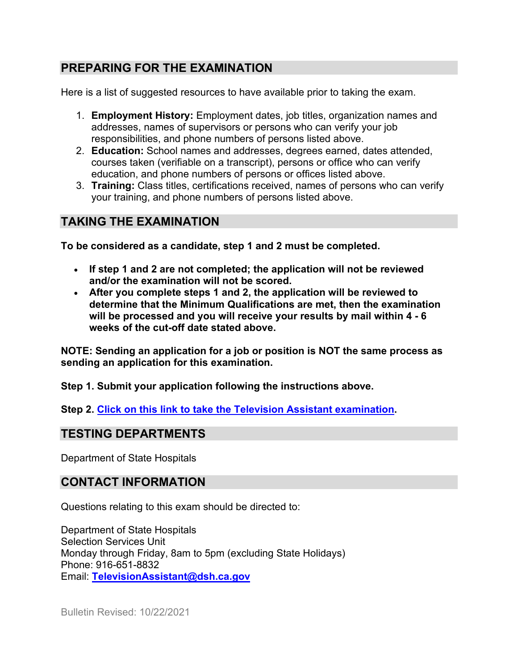## **PREPARING FOR THE EXAMINATION**

Here is a list of suggested resources to have available prior to taking the exam.

- 1. **Employment History:** Employment dates, job titles, organization names and addresses, names of supervisors or persons who can verify your job responsibilities, and phone numbers of persons listed above.
- 2. **Education:** School names and addresses, degrees earned, dates attended, courses taken (verifiable on a transcript), persons or office who can verify education, and phone numbers of persons or offices listed above.
- 3. **Training:** Class titles, certifications received, names of persons who can verify your training, and phone numbers of persons listed above.

## **TAKING THE EXAMINATION**

**To be considered as a candidate, step 1 and 2 must be completed.**

- **If step 1 and 2 are not completed; the application will not be reviewed and/or the examination will not be scored.**
- **After you complete steps 1 and 2, the application will be reviewed to determine that the Minimum Qualifications are met, then the examination will be processed and you will receive your results by mail within 4 - 6 weeks of the cut-off date stated above.**

**NOTE: Sending an application for a job or position is NOT the same process as sending an application for this examination.**

**Step 1. Submit your application following the instructions above.**

**Step 2. [Click on this link to take the Television Assistant](https://www.surveymonkey.com/r/P3RYS5B) examination.**

## **TESTING DEPARTMENTS**

Department of State Hospitals

## **CONTACT INFORMATION**

Questions relating to this exam should be directed to:

Department of State Hospitals Selection Services Unit Monday through Friday, 8am to 5pm (excluding State Holidays) Phone: 916-651-8832 Email: **[TelevisionAssistant@dsh.ca.gov](mailto:TelevisionAssistant@dsh.ca.gov)**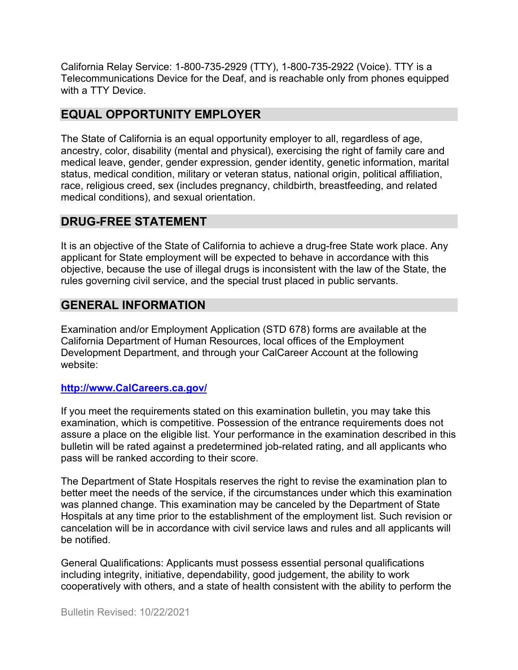California Relay Service: 1-800-735-2929 (TTY), 1-800-735-2922 (Voice). TTY is a Telecommunications Device for the Deaf, and is reachable only from phones equipped with a TTY Device.

## **EQUAL OPPORTUNITY EMPLOYER**

The State of California is an equal opportunity employer to all, regardless of age, ancestry, color, disability (mental and physical), exercising the right of family care and medical leave, gender, gender expression, gender identity, genetic information, marital status, medical condition, military or veteran status, national origin, political affiliation, race, religious creed, sex (includes pregnancy, childbirth, breastfeeding, and related medical conditions), and sexual orientation.

#### **DRUG-FREE STATEMENT**

It is an objective of the State of California to achieve a drug-free State work place. Any applicant for State employment will be expected to behave in accordance with this objective, because the use of illegal drugs is inconsistent with the law of the State, the rules governing civil service, and the special trust placed in public servants.

## **GENERAL INFORMATION**

Examination and/or Employment Application (STD 678) forms are available at the California Department of Human Resources, local offices of the Employment Development Department, and through your CalCareer Account at the following website:

#### **http://www.CalCareers.ca.gov/**

If you meet the requirements stated on this examination bulletin, you may take this examination, which is competitive. Possession of the entrance requirements does not assure a place on the eligible list. Your performance in the examination described in this bulletin will be rated against a predetermined job-related rating, and all applicants who pass will be ranked according to their score.

The Department of State Hospitals reserves the right to revise the examination plan to better meet the needs of the service, if the circumstances under which this examination was planned change. This examination may be canceled by the Department of State Hospitals at any time prior to the establishment of the employment list. Such revision or cancelation will be in accordance with civil service laws and rules and all applicants will be notified.

General Qualifications: Applicants must possess essential personal qualifications including integrity, initiative, dependability, good judgement, the ability to work cooperatively with others, and a state of health consistent with the ability to perform the